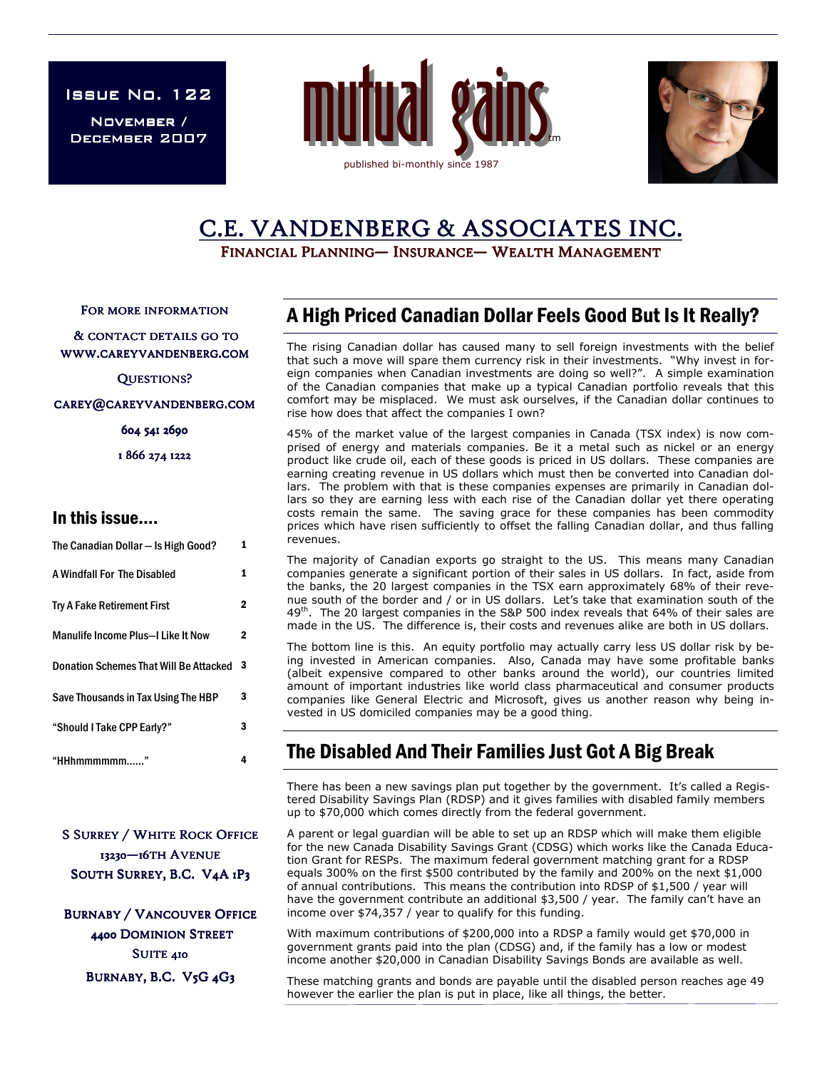**ISSUE No. 122** 

November / December 2007





# C.E. VANDENBERG & ASSOCIATES INC.

FINANCIAL PLANNING— INSURANCE— WEALTH MANAGEMENT

FOR MORE INFORMATION

& CONTACT DETAILS GO TO WWW.CAREYVANDENBERG.COM

QUESTIONS?

CAREY@CAREYVANDENBERG.COM

604 541 2690

1 866 274 1222

#### In this issue….

| The Canadian Dollar - Is High Good?       |   |
|-------------------------------------------|---|
| A Windfall For The Disabled               | 1 |
| <b>Try A Fake Retirement First</b>        | 2 |
| <b>Manulife Income Plus-I Like It Now</b> | 2 |
| Donation Schemes That Will Be Attacked    | 3 |
| Save Thousands in Tax Using The HBP       | 3 |
| "Should I Take CPP Early?"                | 3 |
| "HHhmmmmmm"                               | 4 |

**S SURREY / WHITE ROCK OFFICE** 13230-16TH AVENUE SOUTH SURREY, B.C. V4A 1P3

**BURNABY / VANCOUVER OFFICE** 4400 DOMINION STREET SUITE 410 BURNABY, B.C. V5G 4G3

## A High Priced Canadian Dollar Feels Good But Is It Really?

The rising Canadian dollar has caused many to sell foreign investments with the belief that such a move will spare them currency risk in their investments. "Why invest in foreign companies when Canadian investments are doing so well?". A simple examination of the Canadian companies that make up a typical Canadian portfolio reveals that this comfort may be misplaced. We must ask ourselves, if the Canadian dollar continues to rise how does that affect the companies I own?

45% of the market value of the largest companies in Canada (TSX index) is now comprised of energy and materials companies. Be it a metal such as nickel or an energy product like crude oil, each of these goods is priced in US dollars. These companies are earning creating revenue in US dollars which must then be converted into Canadian dollars. The problem with that is these companies expenses are primarily in Canadian dollars so they are earning less with each rise of the Canadian dollar yet there operating costs remain the same. The saving grace for these companies has been commodity prices which have risen sufficiently to offset the falling Canadian dollar, and thus falling revenues.

The majority of Canadian exports go straight to the US. This means many Canadian companies generate a significant portion of their sales in US dollars. In fact, aside from the banks, the 20 largest companies in the TSX earn approximately 68% of their revenue south of the border and / or in US dollars. Let's take that examination south of the  $49<sup>th</sup>$ . The 20 largest companies in the S&P 500 index reveals that 64% of their sales are made in the US. The difference is, their costs and revenues alike are both in US dollars.

The bottom line is this. An equity portfolio may actually carry less US dollar risk by being invested in American companies. Also, Canada may have some profitable banks (albeit expensive compared to other banks around the world), our countries limited amount of important industries like world class pharmaceutical and consumer products companies like General Electric and Microsoft, gives us another reason why being invested in US domiciled companies may be a good thing.

## The Disabled And Their Families Just Got A Big Break

There has been a new savings plan put together by the government. It's called a Registered Disability Savings Plan (RDSP) and it gives families with disabled family members up to \$70,000 which comes directly from the federal government.

A parent or legal guardian will be able to set up an RDSP which will make them eligible for the new Canada Disability Savings Grant (CDSG) which works like the Canada Education Grant for RESPs. The maximum federal government matching grant for a RDSP equals 300% on the first \$500 contributed by the family and 200% on the next \$1,000 of annual contributions. This means the contribution into RDSP of \$1,500 / year will have the government contribute an additional \$3,500 / year. The family can't have an income over \$74,357 / year to qualify for this funding.

With maximum contributions of \$200,000 into a RDSP a family would get \$70,000 in government grants paid into the plan (CDSG) and, if the family has a low or modest income another \$20,000 in Canadian Disability Savings Bonds are available as well.

These matching grants and bonds are payable until the disabled person reaches age 49 however the earlier the plan is put in place, like all things, the better.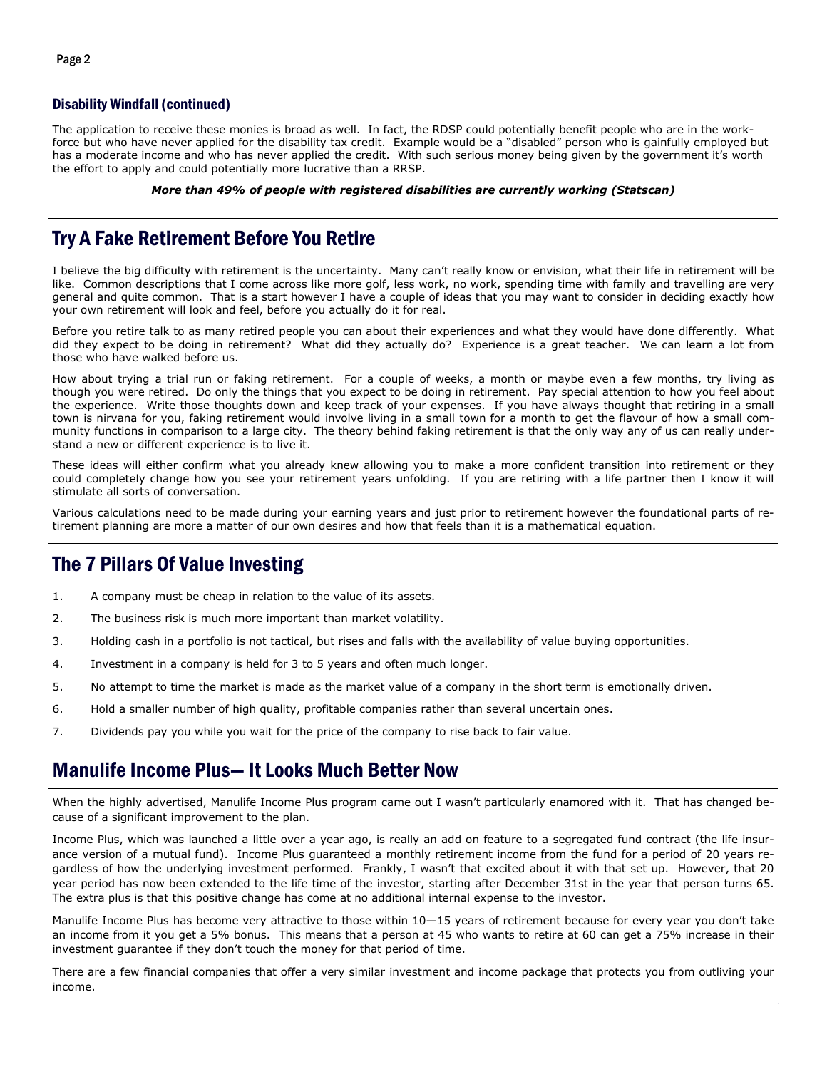#### Disability Windfall (continued)

The application to receive these monies is broad as well. In fact, the RDSP could potentially benefit people who are in the workforce but who have never applied for the disability tax credit. Example would be a "disabled" person who is gainfully employed but has a moderate income and who has never applied the credit. With such serious money being given by the government it's worth the effort to apply and could potentially more lucrative than a RRSP.

#### More than 49% of people with registered disabilities are currently working (Statscan)

### Try A Fake Retirement Before You Retire

I believe the big difficulty with retirement is the uncertainty. Many can't really know or envision, what their life in retirement will be like. Common descriptions that I come across like more golf, less work, no work, spending time with family and travelling are very general and quite common. That is a start however I have a couple of ideas that you may want to consider in deciding exactly how your own retirement will look and feel, before you actually do it for real.

Before you retire talk to as many retired people you can about their experiences and what they would have done differently. What did they expect to be doing in retirement? What did they actually do? Experience is a great teacher. We can learn a lot from those who have walked before us.

How about trying a trial run or faking retirement. For a couple of weeks, a month or maybe even a few months, try living as though you were retired. Do only the things that you expect to be doing in retirement. Pay special attention to how you feel about the experience. Write those thoughts down and keep track of your expenses. If you have always thought that retiring in a small town is nirvana for you, faking retirement would involve living in a small town for a month to get the flavour of how a small community functions in comparison to a large city. The theory behind faking retirement is that the only way any of us can really understand a new or different experience is to live it.

These ideas will either confirm what you already knew allowing you to make a more confident transition into retirement or they could completely change how you see your retirement years unfolding. If you are retiring with a life partner then I know it will stimulate all sorts of conversation.

Various calculations need to be made during your earning years and just prior to retirement however the foundational parts of retirement planning are more a matter of our own desires and how that feels than it is a mathematical equation.

### The 7 Pillars Of Value Investing

- 1. A company must be cheap in relation to the value of its assets.
- 2. The business risk is much more important than market volatility.
- 3. Holding cash in a portfolio is not tactical, but rises and falls with the availability of value buying opportunities.
- 4. Investment in a company is held for 3 to 5 years and often much longer.
- 5. No attempt to time the market is made as the market value of a company in the short term is emotionally driven.
- 6. Hold a smaller number of high quality, profitable companies rather than several uncertain ones.
- 7. Dividends pay you while you wait for the price of the company to rise back to fair value.

### Manulife Income Plus— It Looks Much Better Now

When the highly advertised, Manulife Income Plus program came out I wasn't particularly enamored with it. That has changed because of a significant improvement to the plan.

Income Plus, which was launched a little over a year ago, is really an add on feature to a segregated fund contract (the life insurance version of a mutual fund). Income Plus guaranteed a monthly retirement income from the fund for a period of 20 years regardless of how the underlying investment performed. Frankly, I wasn't that excited about it with that set up. However, that 20 year period has now been extended to the life time of the investor, starting after December 31st in the year that person turns 65. The extra plus is that this positive change has come at no additional internal expense to the investor.

Manulife Income Plus has become very attractive to those within 10—15 years of retirement because for every year you don't take an income from it you get a 5% bonus. This means that a person at 45 who wants to retire at 60 can get a 75% increase in their investment guarantee if they don't touch the money for that period of time.

There are a few financial companies that offer a very similar investment and income package that protects you from outliving your income.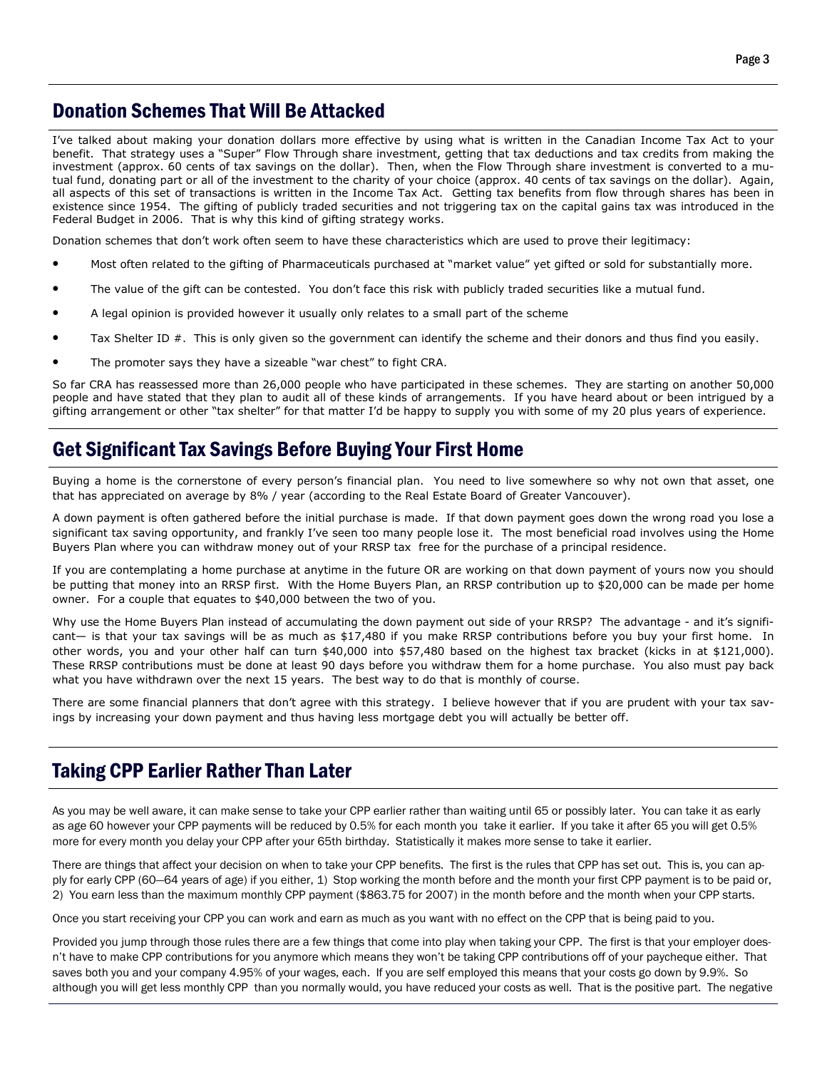### Donation Schemes That Will Be Attacked

I've talked about making your donation dollars more effective by using what is written in the Canadian Income Tax Act to your benefit. That strategy uses a "Super" Flow Through share investment, getting that tax deductions and tax credits from making the investment (approx. 60 cents of tax savings on the dollar). Then, when the Flow Through share investment is converted to a mutual fund, donating part or all of the investment to the charity of your choice (approx. 40 cents of tax savings on the dollar). Again, all aspects of this set of transactions is written in the Income Tax Act. Getting tax benefits from flow through shares has been in existence since 1954. The gifting of publicly traded securities and not triggering tax on the capital gains tax was introduced in the Federal Budget in 2006. That is why this kind of gifting strategy works.

Donation schemes that don't work often seem to have these characteristics which are used to prove their legitimacy:

- Most often related to the gifting of Pharmaceuticals purchased at "market value" yet gifted or sold for substantially more.
- The value of the gift can be contested. You don't face this risk with publicly traded securities like a mutual fund.
- A legal opinion is provided however it usually only relates to a small part of the scheme
- Tax Shelter ID #. This is only given so the government can identify the scheme and their donors and thus find you easily.
- The promoter says they have a sizeable "war chest" to fight CRA.

So far CRA has reassessed more than 26,000 people who have participated in these schemes. They are starting on another 50,000 people and have stated that they plan to audit all of these kinds of arrangements. If you have heard about or been intrigued by a gifting arrangement or other "tax shelter" for that matter I'd be happy to supply you with some of my 20 plus years of experience.

## Get Significant Tax Savings Before Buying Your First Home

Buying a home is the cornerstone of every person's financial plan. You need to live somewhere so why not own that asset, one that has appreciated on average by 8% / year (according to the Real Estate Board of Greater Vancouver).

A down payment is often gathered before the initial purchase is made. If that down payment goes down the wrong road you lose a significant tax saving opportunity, and frankly I've seen too many people lose it. The most beneficial road involves using the Home Buyers Plan where you can withdraw money out of your RRSP tax free for the purchase of a principal residence.

If you are contemplating a home purchase at anytime in the future OR are working on that down payment of yours now you should be putting that money into an RRSP first. With the Home Buyers Plan, an RRSP contribution up to \$20,000 can be made per home owner. For a couple that equates to \$40,000 between the two of you.

Why use the Home Buyers Plan instead of accumulating the down payment out side of your RRSP? The advantage - and it's significant— is that your tax savings will be as much as \$17,480 if you make RRSP contributions before you buy your first home. In other words, you and your other half can turn \$40,000 into \$57,480 based on the highest tax bracket (kicks in at \$121,000). These RRSP contributions must be done at least 90 days before you withdraw them for a home purchase. You also must pay back what you have withdrawn over the next 15 years. The best way to do that is monthly of course.

There are some financial planners that don't agree with this strategy. I believe however that if you are prudent with your tax savings by increasing your down payment and thus having less mortgage debt you will actually be better off.

## Taking CPP Earlier Rather Than Later

As you may be well aware, it can make sense to take your CPP earlier rather than waiting until 65 or possibly later. You can take it as early as age 60 however your CPP payments will be reduced by 0.5% for each month you take it earlier. If you take it after 65 you will get 0.5% more for every month you delay your CPP after your 65th birthday. Statistically it makes more sense to take it earlier.

There are things that affect your decision on when to take your CPP benefits. The first is the rules that CPP has set out. This is, you can apply for early CPP (60—64 years of age) if you either, 1) Stop working the month before and the month your first CPP payment is to be paid or, 2) You earn less than the maximum monthly CPP payment (\$863.75 for 2007) in the month before and the month when your CPP starts.

Once you start receiving your CPP you can work and earn as much as you want with no effect on the CPP that is being paid to you.

Provided you jump through those rules there are a few things that come into play when taking your CPP. The first is that your employer doesn't have to make CPP contributions for you anymore which means they won't be taking CPP contributions off of your paycheque either. That saves both you and your company 4.95% of your wages, each. If you are self employed this means that your costs go down by 9.9%. So although you will get less monthly CPP than you normally would, you have reduced your costs as well. That is the positive part. The negative